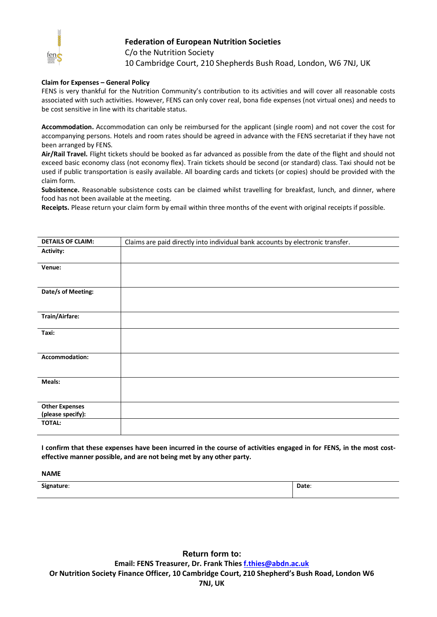

## **Federation of European Nutrition Societies**

C/o the Nutrition Society 10 Cambridge Court, 210 Shepherds Bush Road, London, W6 7NJ, UK

## **Claim for Expenses – General Policy**

FENS is very thankful for the Nutrition Community's contribution to its activities and will cover all reasonable costs associated with such activities. However, FENS can only cover real, bona fide expenses (not virtual ones) and needs to be cost sensitive in line with its charitable status.

**Accommodation.** Accommodation can only be reimbursed for the applicant (single room) and not cover the cost for accompanying persons. Hotels and room rates should be agreed in advance with the FENS secretariat if they have not been arranged by FENS.

**Air/Rail Travel.** Flight tickets should be booked as far advanced as possible from the date of the flight and should not exceed basic economy class (not economy flex). Train tickets should be second (or standard) class. Taxi should not be used if public transportation is easily available. All boarding cards and tickets (or copies) should be provided with the claim form.

**Subsistence.** Reasonable subsistence costs can be claimed whilst travelling for breakfast, lunch, and dinner, where food has not been available at the meeting.

**Receipts.** Please return your claim form by email within three months of the event with original receipts if possible.

| <b>DETAILS OF CLAIM:</b>                   | Claims are paid directly into individual bank accounts by electronic transfer. |
|--------------------------------------------|--------------------------------------------------------------------------------|
| Activity:                                  |                                                                                |
| Venue:                                     |                                                                                |
| Date/s of Meeting:                         |                                                                                |
| Train/Airfare:                             |                                                                                |
| Taxi:                                      |                                                                                |
| Accommodation:                             |                                                                                |
| Meals:                                     |                                                                                |
| <b>Other Expenses</b><br>(please specify): |                                                                                |
| <b>TOTAL:</b>                              |                                                                                |

**I confirm that these expenses have been incurred in the course of activities engaged in for FENS, in the most costeffective manner possible, and are not being met by any other party.**

**NAME**

**Signature**: **Date**:

**Return form to: Email: FENS Treasurer, Dr. Frank Thies [f.thies@abdn.ac.uk](mailto:f.thies@abdn.ac.uk) Or Nutrition Society Finance Officer, 10 Cambridge Court, 210 Shepherd's Bush Road, London W6 7NJ, UK**